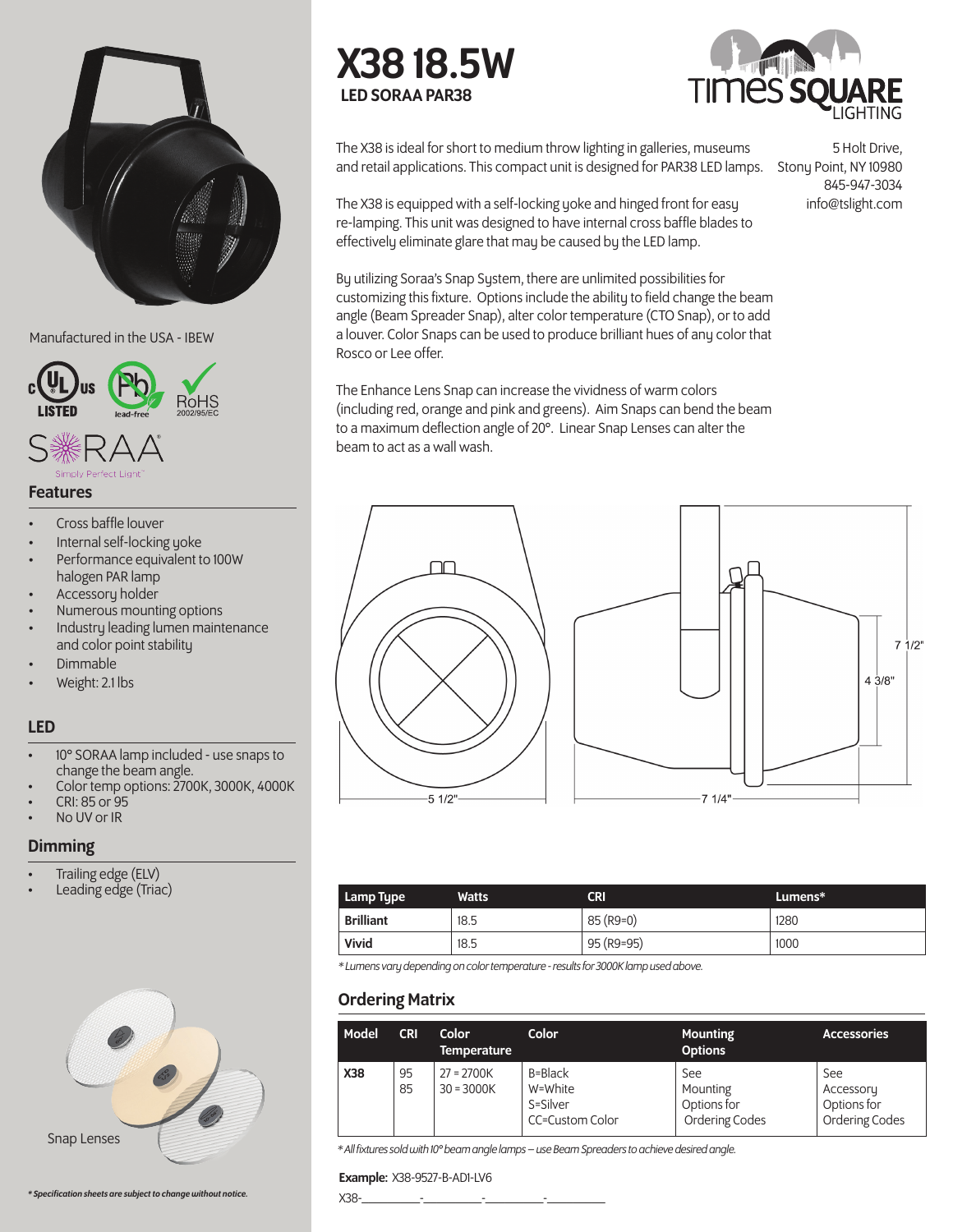

Manufactured in the USA - IBEW



## Features

- Cross baffle louver
- Internal self-locking yoke
- Performance equivalent to 100W halogen PAR lamp
- Accessory holder
- Numerous mounting options
- Industry leading lumen maintenance and color point stability
- Dimmable
- Weight: 2.1 lbs

# LED

- 10° SORAA lamp included use snaps to change the beam angle.
- Color temp options: 2700K, 3000K, 4000K
- CRI: 85 or 95
- No UV or IR

## Dimming

- Trailing edge (ELV)
- Leading edge (Triac)







and retail applications. This compact unit is designed for PAR38 LED lamps. Stony Point, NY 10980 The X38 is ideal for short to medium throw lighting in galleries, museums

The X38 is equipped with a self-locking yoke and hinged front for easy re-lamping. This unit was designed to have internal cross baffle blades to effectively eliminate glare that may be caused by the LED lamp.

5 Holt Drive, 845-947-3034 info@tslight.com

By utilizing Soraa's Snap System, there are unlimited possibilities for customizing this fixture. Options include the ability to field change the beam angle (Beam Spreader Snap), alter color temperature (CTO Snap), or to add a louver. Color Snaps can be used to produce brilliant hues of any color that Rosco or Lee offer.

The Enhance Lens Snap can increase the vividness of warm colors (including red, orange and pink and greens). Aim Snaps can bend the beam to a maximum deflection angle of 20°. Linear Snap Lenses can alter the beam to act as a wall wash.



| Lamp Type        | <b>Watts</b> | <b>CRI</b> | Lumens* |
|------------------|--------------|------------|---------|
| <b>Brilliant</b> | 18.5         | 85 (R9=0)  | 1280    |
| Vivid            | 18.5         | 95 (R9=95) | 1000    |

*\* Lumens vary depending on color temperature - results for 3000K lamp used above.*

# Ordering Matrix

| Model      | <b>CRI</b> | Color<br><b>Temperature</b>  | Color                                             | <b>Mounting</b><br><b>Options</b>                | <b>Accessories</b>                                |
|------------|------------|------------------------------|---------------------------------------------------|--------------------------------------------------|---------------------------------------------------|
| <b>X38</b> | 95<br>85   | $27 = 2700K$<br>$30 = 3000K$ | B=Black<br>W=White<br>S=Silver<br>CC=Custom Color | See<br>Mounting<br>Options for<br>Ordering Codes | See<br>Accessory<br>Options for<br>Ordering Codes |

*\* All fixtures sold with 10° beam angle lamps – use Beam Spreaders to achieve desired angle.*

#### Example: X38-9527-B-AD1-LV6

X38-\_\_\_\_\_\_\_\_\_-\_\_\_\_\_\_\_\_\_-\_\_\_\_\_\_\_\_\_-\_\_\_\_\_\_\_\_\_